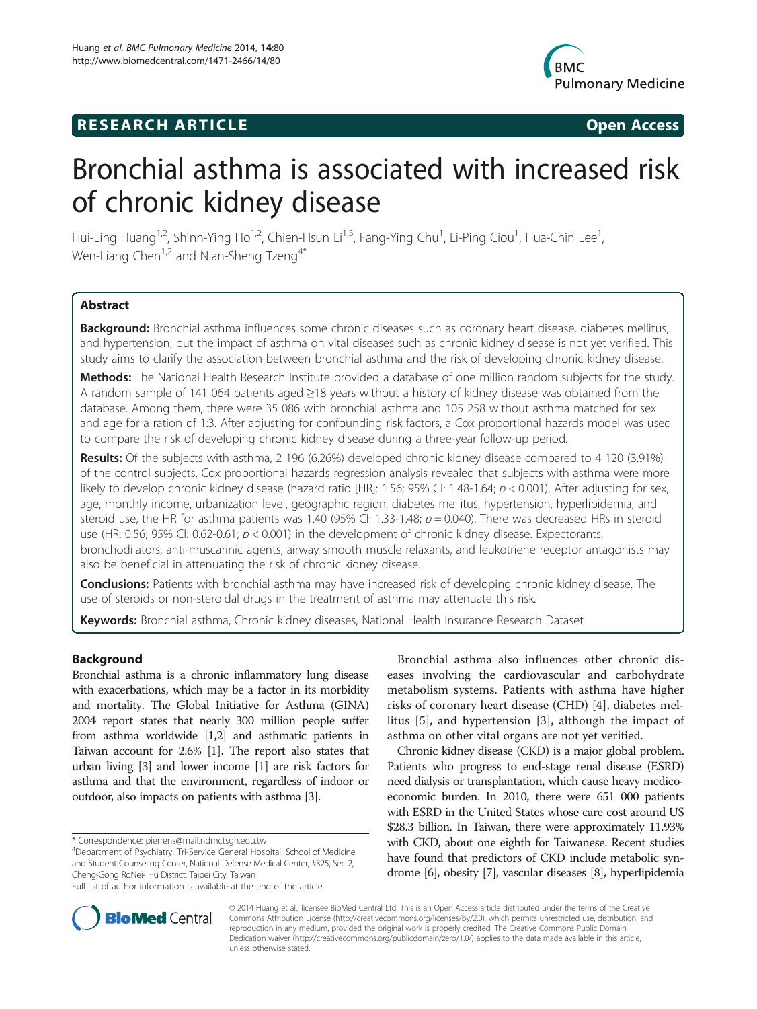## **RESEARCH ARTICLE Example 2014 CONSIDERING CONSIDERING CONSIDERING CONSIDERING CONSIDERING CONSIDERING CONSIDERING CONSIDERING CONSIDERING CONSIDERING CONSIDERING CONSIDERING CONSIDERING CONSIDERING CONSIDERING CONSIDE**



# Bronchial asthma is associated with increased risk of chronic kidney disease

Hui-Ling Huang<sup>1,2</sup>, Shinn-Ying Ho<sup>1,2</sup>, Chien-Hsun Li<sup>1,3</sup>, Fang-Ying Chu<sup>1</sup>, Li-Ping Ciou<sup>1</sup>, Hua-Chin Lee<sup>1</sup> , Wen-Liang Chen<sup>1,2</sup> and Nian-Sheng Tzeng<sup>4\*</sup>

## **Abstract**

Background: Bronchial asthma influences some chronic diseases such as coronary heart disease, diabetes mellitus, and hypertension, but the impact of asthma on vital diseases such as chronic kidney disease is not yet verified. This study aims to clarify the association between bronchial asthma and the risk of developing chronic kidney disease.

Methods: The National Health Research Institute provided a database of one million random subjects for the study. A random sample of 141 064 patients aged ≥18 years without a history of kidney disease was obtained from the database. Among them, there were 35 086 with bronchial asthma and 105 258 without asthma matched for sex and age for a ration of 1:3. After adjusting for confounding risk factors, a Cox proportional hazards model was used to compare the risk of developing chronic kidney disease during a three-year follow-up period.

Results: Of the subjects with asthma, 2 196 (6.26%) developed chronic kidney disease compared to 4 120 (3.91%) of the control subjects. Cox proportional hazards regression analysis revealed that subjects with asthma were more likely to develop chronic kidney disease (hazard ratio [HR]: 1.56; 95% CI: 1.48-1.64;  $p < 0.001$ ). After adjusting for sex, age, monthly income, urbanization level, geographic region, diabetes mellitus, hypertension, hyperlipidemia, and steroid use, the HR for asthma patients was 1.40 (95% CI: 1.33-1.48;  $p = 0.040$ ). There was decreased HRs in steroid use (HR: 0.56; 95% CI: 0.62-0.61;  $p < 0.001$ ) in the development of chronic kidney disease. Expectorants, bronchodilators, anti-muscarinic agents, airway smooth muscle relaxants, and leukotriene receptor antagonists may also be beneficial in attenuating the risk of chronic kidney disease.

**Conclusions:** Patients with bronchial asthma may have increased risk of developing chronic kidney disease. The use of steroids or non-steroidal drugs in the treatment of asthma may attenuate this risk.

Keywords: Bronchial asthma, Chronic kidney diseases, National Health Insurance Research Dataset

## Background

Bronchial asthma is a chronic inflammatory lung disease with exacerbations, which may be a factor in its morbidity and mortality. The Global Initiative for Asthma (GINA) 2004 report states that nearly 300 million people suffer from asthma worldwide [\[1,2](#page-6-0)] and asthmatic patients in Taiwan account for 2.6% [\[1\]](#page-6-0). The report also states that urban living [[3\]](#page-6-0) and lower income [\[1](#page-6-0)] are risk factors for asthma and that the environment, regardless of indoor or outdoor, also impacts on patients with asthma [[3](#page-6-0)].

\* Correspondence: [pierrens@mail.ndmctsgh.edu.tw](mailto:pierrens@mail.ndmctsgh.edu.tw) <sup>4</sup>

Bronchial asthma also influences other chronic diseases involving the cardiovascular and carbohydrate metabolism systems. Patients with asthma have higher risks of coronary heart disease (CHD) [\[4](#page-6-0)], diabetes mellitus [[5\]](#page-6-0), and hypertension [\[3](#page-6-0)], although the impact of asthma on other vital organs are not yet verified.

Chronic kidney disease (CKD) is a major global problem. Patients who progress to end-stage renal disease (ESRD) need dialysis or transplantation, which cause heavy medicoeconomic burden. In 2010, there were 651 000 patients with ESRD in the United States whose care cost around US \$28.3 billion. In Taiwan, there were approximately 11.93% with CKD, about one eighth for Taiwanese. Recent studies have found that predictors of CKD include metabolic syndrome [[6](#page-6-0)], obesity [[7](#page-6-0)], vascular diseases [[8](#page-6-0)], hyperlipidemia



© 2014 Huang et al.; licensee BioMed Central Ltd. This is an Open Access article distributed under the terms of the Creative Commons Attribution License [\(http://creativecommons.org/licenses/by/2.0\)](http://creativecommons.org/licenses/by/2.0), which permits unrestricted use, distribution, and reproduction in any medium, provided the original work is properly credited. The Creative Commons Public Domain Dedication waiver [\(http://creativecommons.org/publicdomain/zero/1.0/](http://creativecommons.org/publicdomain/zero/1.0/)) applies to the data made available in this article, unless otherwise stated.

Department of Psychiatry, Tri-Service General Hospital, School of Medicine and Student Counseling Center, National Defense Medical Center, #325, Sec 2, Cheng-Gong RdNei- Hu District, Taipei City, Taiwan

Full list of author information is available at the end of the article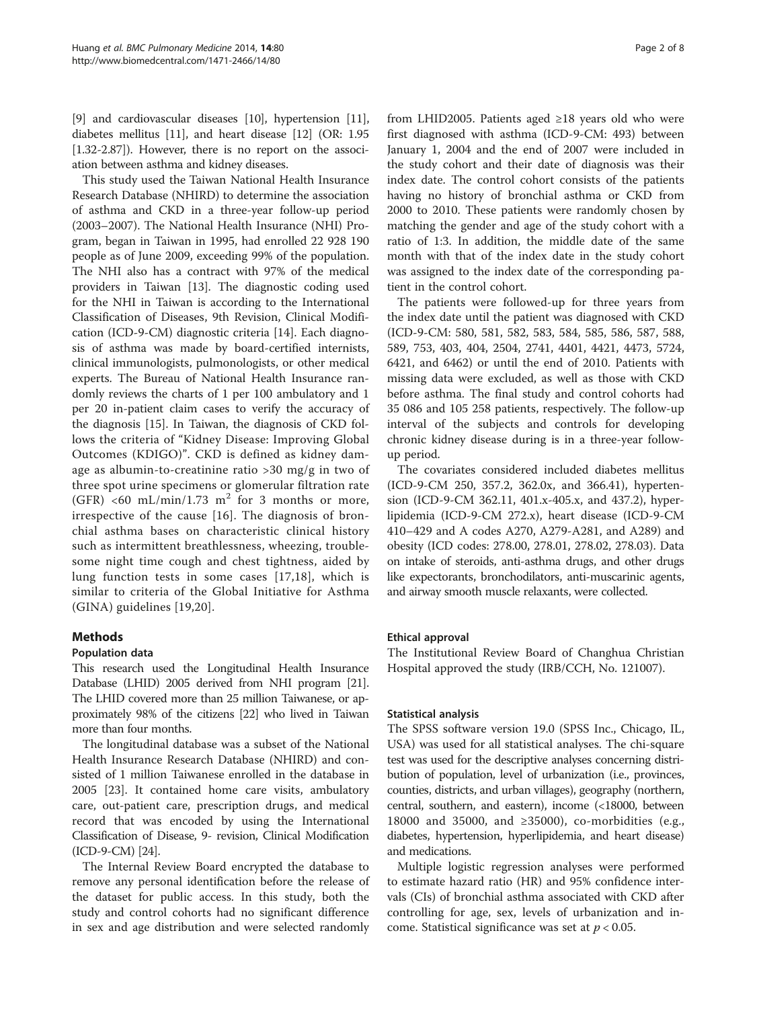[[9\]](#page-6-0) and cardiovascular diseases [[10](#page-6-0)], hypertension [[11](#page-6-0)], diabetes mellitus [\[11\]](#page-6-0), and heart disease [\[12\]](#page-6-0) (OR: 1.95 [1.32-2.87]). However, there is no report on the association between asthma and kidney diseases.

This study used the Taiwan National Health Insurance Research Database (NHIRD) to determine the association of asthma and CKD in a three-year follow-up period (2003–2007). The National Health Insurance (NHI) Program, began in Taiwan in 1995, had enrolled 22 928 190 people as of June 2009, exceeding 99% of the population. The NHI also has a contract with 97% of the medical providers in Taiwan [[13\]](#page-6-0). The diagnostic coding used for the NHI in Taiwan is according to the International Classification of Diseases, 9th Revision, Clinical Modification (ICD-9-CM) diagnostic criteria [\[14](#page-6-0)]. Each diagnosis of asthma was made by board-certified internists, clinical immunologists, pulmonologists, or other medical experts. The Bureau of National Health Insurance randomly reviews the charts of 1 per 100 ambulatory and 1 per 20 in-patient claim cases to verify the accuracy of the diagnosis [\[15](#page-6-0)]. In Taiwan, the diagnosis of CKD follows the criteria of "Kidney Disease: Improving Global Outcomes (KDIGO)". CKD is defined as kidney damage as albumin-to-creatinine ratio >30 mg/g in two of three spot urine specimens or glomerular filtration rate (GFR) <60 mL/min/1.73 m<sup>2</sup> for 3 months or more, irrespective of the cause [\[16\]](#page-6-0). The diagnosis of bronchial asthma bases on characteristic clinical history such as intermittent breathlessness, wheezing, troublesome night time cough and chest tightness, aided by lung function tests in some cases [\[17](#page-6-0),[18\]](#page-6-0), which is similar to criteria of the Global Initiative for Asthma (GINA) guidelines [[19,20](#page-6-0)].

## Methods

### Population data

This research used the Longitudinal Health Insurance Database (LHID) 2005 derived from NHI program [\[21](#page-6-0)]. The LHID covered more than 25 million Taiwanese, or approximately 98% of the citizens [\[22\]](#page-6-0) who lived in Taiwan more than four months.

The longitudinal database was a subset of the National Health Insurance Research Database (NHIRD) and consisted of 1 million Taiwanese enrolled in the database in 2005 [\[23](#page-6-0)]. It contained home care visits, ambulatory care, out-patient care, prescription drugs, and medical record that was encoded by using the International Classification of Disease, 9- revision, Clinical Modification (ICD-9-CM) [[24](#page-6-0)].

The Internal Review Board encrypted the database to remove any personal identification before the release of the dataset for public access. In this study, both the study and control cohorts had no significant difference in sex and age distribution and were selected randomly

from LHID2005. Patients aged ≥18 years old who were first diagnosed with asthma (ICD-9-CM: 493) between January 1, 2004 and the end of 2007 were included in the study cohort and their date of diagnosis was their index date. The control cohort consists of the patients having no history of bronchial asthma or CKD from 2000 to 2010. These patients were randomly chosen by matching the gender and age of the study cohort with a ratio of 1:3. In addition, the middle date of the same month with that of the index date in the study cohort was assigned to the index date of the corresponding patient in the control cohort.

The patients were followed-up for three years from the index date until the patient was diagnosed with CKD (ICD-9-CM: 580, 581, 582, 583, 584, 585, 586, 587, 588, 589, 753, 403, 404, 2504, 2741, 4401, 4421, 4473, 5724, 6421, and 6462) or until the end of 2010. Patients with missing data were excluded, as well as those with CKD before asthma. The final study and control cohorts had 35 086 and 105 258 patients, respectively. The follow-up interval of the subjects and controls for developing chronic kidney disease during is in a three-year followup period.

The covariates considered included diabetes mellitus (ICD-9-CM 250, 357.2, 362.0x, and 366.41), hypertension (ICD-9-CM 362.11, 401.x-405.x, and 437.2), hyperlipidemia (ICD-9-CM 272.x), heart disease (ICD-9-CM 410–429 and A codes A270, A279-A281, and A289) and obesity (ICD codes: 278.00, 278.01, 278.02, 278.03). Data on intake of steroids, anti-asthma drugs, and other drugs like expectorants, bronchodilators, anti-muscarinic agents, and airway smooth muscle relaxants, were collected.

### Ethical approval

The Institutional Review Board of Changhua Christian Hospital approved the study (IRB/CCH, No. 121007).

#### Statistical analysis

The SPSS software version 19.0 (SPSS Inc., Chicago, IL, USA) was used for all statistical analyses. The chi-square test was used for the descriptive analyses concerning distribution of population, level of urbanization (i.e., provinces, counties, districts, and urban villages), geography (northern, central, southern, and eastern), income (<18000, between 18000 and 35000, and ≥35000), co-morbidities (e.g., diabetes, hypertension, hyperlipidemia, and heart disease) and medications.

Multiple logistic regression analyses were performed to estimate hazard ratio (HR) and 95% confidence intervals (CIs) of bronchial asthma associated with CKD after controlling for age, sex, levels of urbanization and income. Statistical significance was set at  $p < 0.05$ .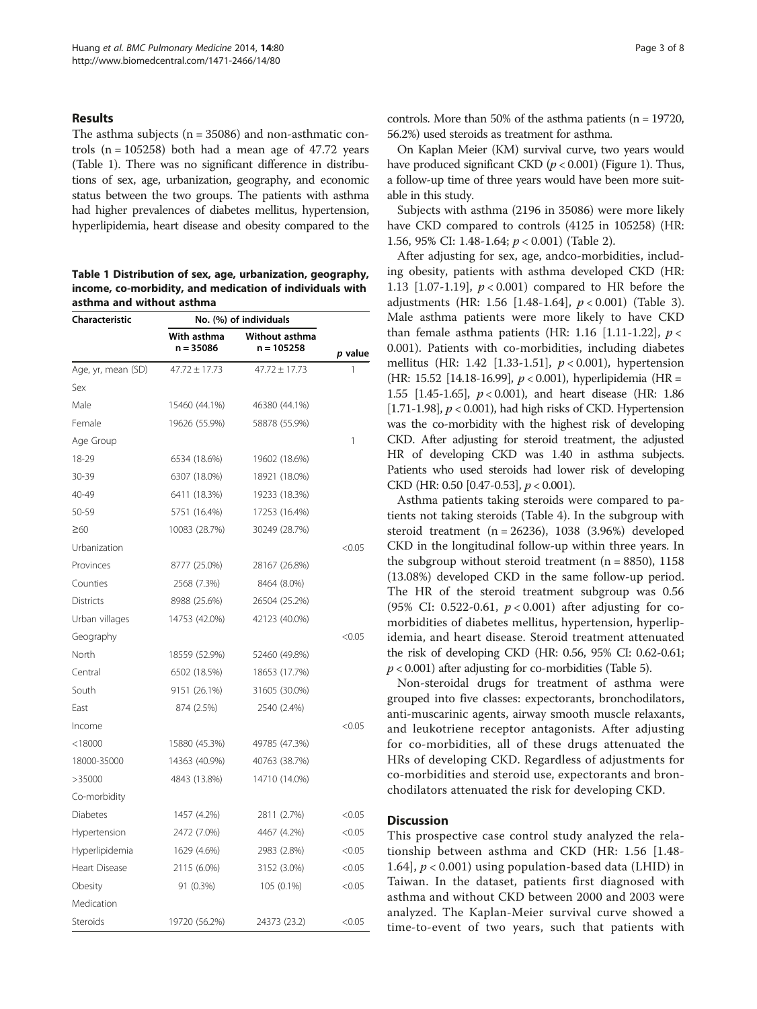### Results

The asthma subjects (n = 35086) and non-asthmatic controls  $(n = 105258)$  both had a mean age of 47.72 years (Table 1). There was no significant difference in distributions of sex, age, urbanization, geography, and economic status between the two groups. The patients with asthma had higher prevalences of diabetes mellitus, hypertension, hyperlipidemia, heart disease and obesity compared to the

Table 1 Distribution of sex, age, urbanization, geography, income, co-morbidity, and medication of individuals with asthma and without asthma

| Characteristic     | No. (%) of individuals     |                                |         |
|--------------------|----------------------------|--------------------------------|---------|
|                    | With asthma<br>$n = 35086$ | Without asthma<br>$n = 105258$ | p value |
| Age, yr, mean (SD) | $47.72 + 17.73$            | $47.72 + 17.73$                | 1       |
| Sex                |                            |                                |         |
| Male               | 15460 (44.1%)              | 46380 (44.1%)                  |         |
| Female             | 19626 (55.9%)              | 58878 (55.9%)                  |         |
| Age Group          |                            |                                | 1       |
| 18-29              | 6534 (18.6%)               | 19602 (18.6%)                  |         |
| 30-39              | 6307 (18.0%)               | 18921 (18.0%)                  |         |
| 40-49              | 6411 (18.3%)               | 19233 (18.3%)                  |         |
| 50-59              | 5751 (16.4%)               | 17253 (16.4%)                  |         |
| $\geq 60$          | 10083 (28.7%)              | 30249 (28.7%)                  |         |
| Urbanization       |                            |                                | < 0.05  |
| Provinces          | 8777 (25.0%)               | 28167 (26.8%)                  |         |
| Counties           | 2568 (7.3%)                | 8464 (8.0%)                    |         |
| <b>Districts</b>   | 8988 (25.6%)               | 26504 (25.2%)                  |         |
| Urban villages     | 14753 (42.0%)              | 42123 (40.0%)                  |         |
| Geography          |                            |                                | < 0.05  |
| North              | 18559 (52.9%)              | 52460 (49.8%)                  |         |
| Central            | 6502 (18.5%)               | 18653 (17.7%)                  |         |
| South              | 9151 (26.1%)               | 31605 (30.0%)                  |         |
| East               | 874 (2.5%)                 | 2540 (2.4%)                    |         |
| Income             |                            |                                | < 0.05  |
| $<$ 18000          | 15880 (45.3%)              | 49785 (47.3%)                  |         |
| 18000-35000        | 14363 (40.9%)              | 40763 (38.7%)                  |         |
| >35000             | 4843 (13.8%)               | 14710 (14.0%)                  |         |
| Co-morbidity       |                            |                                |         |
| Diabetes           | 1457 (4.2%)                | 2811 (2.7%)                    | < 0.05  |
| Hypertension       | 2472 (7.0%)                | 4467 (4.2%)                    | < 0.05  |
| Hyperlipidemia     | 1629 (4.6%)                | 2983 (2.8%)                    | < 0.05  |
| Heart Disease      | 2115 (6.0%)                | 3152 (3.0%)                    | < 0.05  |
| Obesity            | 91 (0.3%)                  | 105 (0.1%)                     | < 0.05  |
| Medication         |                            |                                |         |
| Steroids           | 19720 (56.2%)              | 24373 (23.2)                   | < 0.05  |

controls. More than 50% of the asthma patients ( $n = 19720$ , 56.2%) used steroids as treatment for asthma.

On Kaplan Meier (KM) survival curve, two years would have produced significant CKD ( $p < 0.001$ ) (Figure [1](#page-3-0)). Thus, a follow-up time of three years would have been more suitable in this study.

Subjects with asthma (2196 in 35086) were more likely have CKD compared to controls (4125 in 105258) (HR: 1.56, 95% CI: 1.48-1.64; p < 0.001) (Table [2](#page-3-0)).

After adjusting for sex, age, andco-morbidities, including obesity, patients with asthma developed CKD (HR: 1.13  $[1.07-1.19]$ ,  $p < 0.001$ ) compared to HR before the adjustments (HR: 1.56 [1.48-1.64],  $p < 0.001$ ) (Table [3](#page-4-0)). Male asthma patients were more likely to have CKD than female asthma patients (HR: 1.16 [1.11-1.22],  $p <$ 0.001). Patients with co-morbidities, including diabetes mellitus (HR: 1.42 [1.33-1.51],  $p < 0.001$ ), hypertension (HR: 15.52 [14.18-16.99], p < 0.001), hyperlipidemia (HR = 1.55 [1.45-1.65], p < 0.001), and heart disease (HR: 1.86 [1.71-1.98],  $p < 0.001$ ), had high risks of CKD. Hypertension was the co-morbidity with the highest risk of developing CKD. After adjusting for steroid treatment, the adjusted HR of developing CKD was 1.40 in asthma subjects. Patients who used steroids had lower risk of developing CKD (HR: 0.50 [0.47-0.53], p < 0.001).

Asthma patients taking steroids were compared to patients not taking steroids (Table [4](#page-4-0)). In the subgroup with steroid treatment (n = 26236), 1038 (3.96%) developed CKD in the longitudinal follow-up within three years. In the subgroup without steroid treatment  $(n = 8850)$ , 1158 (13.08%) developed CKD in the same follow-up period. The HR of the steroid treatment subgroup was 0.56 (95% CI: 0.522-0.61,  $p < 0.001$ ) after adjusting for comorbidities of diabetes mellitus, hypertension, hyperlipidemia, and heart disease. Steroid treatment attenuated the risk of developing CKD (HR: 0.56, 95% CI: 0.62-0.61;  $p < 0.001$ ) after adjusting for co-morbidities (Table [5](#page-5-0)).

Non-steroidal drugs for treatment of asthma were grouped into five classes: expectorants, bronchodilators, anti-muscarinic agents, airway smooth muscle relaxants, and leukotriene receptor antagonists. After adjusting for co-morbidities, all of these drugs attenuated the HRs of developing CKD. Regardless of adjustments for co-morbidities and steroid use, expectorants and bronchodilators attenuated the risk for developing CKD.

## **Discussion**

This prospective case control study analyzed the relationship between asthma and CKD (HR: 1.56 [1.48- 1.64],  $p < 0.001$ ) using population-based data (LHID) in Taiwan. In the dataset, patients first diagnosed with asthma and without CKD between 2000 and 2003 were analyzed. The Kaplan-Meier survival curve showed a time-to-event of two years, such that patients with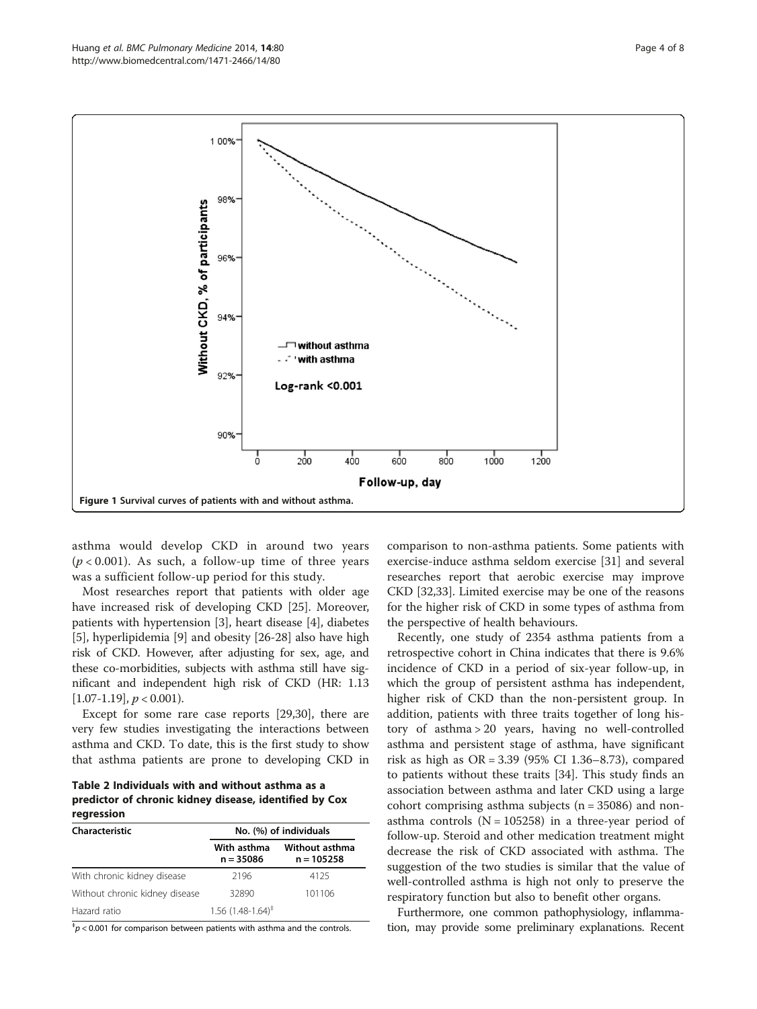<span id="page-3-0"></span>

asthma would develop CKD in around two years  $(p < 0.001)$ . As such, a follow-up time of three years was a sufficient follow-up period for this study.

Most researches report that patients with older age have increased risk of developing CKD [[25\]](#page-6-0). Moreover, patients with hypertension [\[3\]](#page-6-0), heart disease [\[4](#page-6-0)], diabetes [[5\]](#page-6-0), hyperlipidemia [[9\]](#page-6-0) and obesity [\[26](#page-6-0)-[28](#page-7-0)] also have high risk of CKD. However, after adjusting for sex, age, and these co-morbidities, subjects with asthma still have significant and independent high risk of CKD (HR: 1.13  $[1.07-1.19], p < 0.001$ ).

Except for some rare case reports [\[29,30\]](#page-7-0), there are very few studies investigating the interactions between asthma and CKD. To date, this is the first study to show that asthma patients are prone to developing CKD in

Table 2 Individuals with and without asthma as a predictor of chronic kidney disease, identified by Cox regression

| Characteristic                 | No. (%) of individuals          |                                |  |
|--------------------------------|---------------------------------|--------------------------------|--|
|                                | With asthma<br>$n = 35086$      | Without asthma<br>$n = 105258$ |  |
| With chronic kidney disease    | 2196                            | 4125                           |  |
| Without chronic kidney disease | 32890                           | 101106                         |  |
| Hazard ratio                   | $1.56$ (1.48-1.64) <sup>‡</sup> |                                |  |

 $p^{\pm}$ p < 0.001 for comparison between patients with asthma and the controls.

comparison to non-asthma patients. Some patients with exercise-induce asthma seldom exercise [[31\]](#page-7-0) and several researches report that aerobic exercise may improve CKD [\[32,33\]](#page-7-0). Limited exercise may be one of the reasons for the higher risk of CKD in some types of asthma from the perspective of health behaviours.

Recently, one study of 2354 asthma patients from a retrospective cohort in China indicates that there is 9.6% incidence of CKD in a period of six-year follow-up, in which the group of persistent asthma has independent, higher risk of CKD than the non-persistent group. In addition, patients with three traits together of long history of asthma > 20 years, having no well-controlled asthma and persistent stage of asthma, have significant risk as high as OR = 3.39 (95% CI 1.36–8.73), compared to patients without these traits [[34](#page-7-0)]. This study finds an association between asthma and later CKD using a large cohort comprising asthma subjects  $(n = 35086)$  and nonasthma controls  $(N = 105258)$  in a three-year period of follow-up. Steroid and other medication treatment might decrease the risk of CKD associated with asthma. The suggestion of the two studies is similar that the value of well-controlled asthma is high not only to preserve the respiratory function but also to benefit other organs.

Furthermore, one common pathophysiology, inflammation, may provide some preliminary explanations. Recent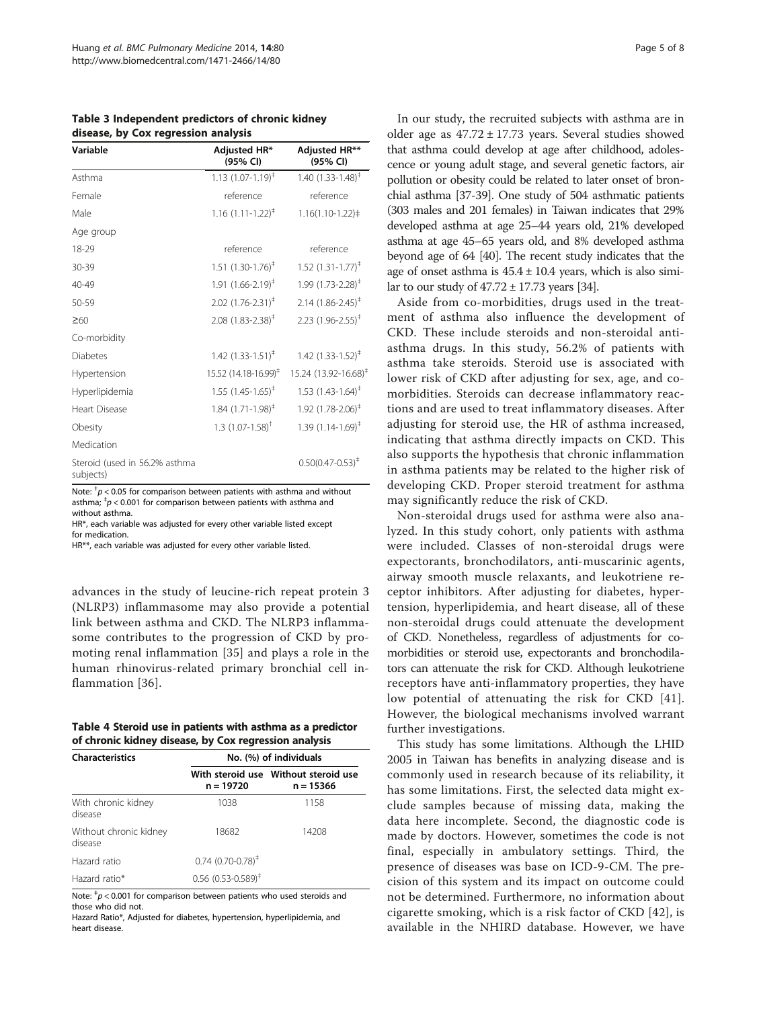<span id="page-4-0"></span>Table 3 Independent predictors of chronic kidney disease, by Cox regression analysis

| Variable                                   | Adjusted HR*<br>(95% CI)          | <b>Adjusted HR**</b><br>(95% CI)  |
|--------------------------------------------|-----------------------------------|-----------------------------------|
| Asthma                                     | $1.13(1.07-1.19)^{\ddagger}$      | 1.40 $(1.33 - 1.48)^{\ddagger}$   |
| Female                                     | reference                         | reference                         |
| Male                                       | $1.16$ $(1.11 - 1.22)^{4}$        | $1.16(1.10-1.22)$                 |
| Age group                                  |                                   |                                   |
| 18-29                                      | reference                         | reference                         |
| 30-39                                      | $1.51$ $(1.30-1.76)^{\ddagger}$   | $1.52$ $(1.31 - 1.77)^{4}$        |
| 40-49                                      | $1.91 (1.66 - 2.19)^{\ddagger}$   | $1.99(1.73 - 2.28)^+$             |
| 50-59                                      | $2.02$ $(1.76 - 2.31)^{\ddagger}$ | $2.14$ (1.86-2.45) <sup>‡</sup>   |
| $\geq 60$                                  | $2.08$ (1.83-2.38) <sup>‡</sup>   | $2.23$ (1.96-2.55) <sup>‡</sup>   |
| Co-morbidity                               |                                   |                                   |
| <b>Diabetes</b>                            | 1.42 $(1.33 - 1.51)^{\ddagger}$   | $1.42$ (1.33-1.52) <sup>‡</sup>   |
| Hypertension                               | 15.52 (14.18-16.99) <sup>‡</sup>  | 15.24 (13.92-16.68) <sup>‡</sup>  |
| Hyperlipidemia                             | $1.55$ $(1.45 - 1.65)^{+}$        | $1.53$ $(1.43 - 1.64)^{\ddagger}$ |
| <b>Heart Disease</b>                       | $1.84$ $(1.71 - 1.98)^{\ddagger}$ | $1.92$ (1.78-2.06) <sup>‡</sup>   |
| Obesity                                    | 1.3 $(1.07 - 1.58)^+$             | 1.39 $(1.14 - 1.69)^{\ddagger}$   |
| Medication                                 |                                   |                                   |
| Steroid (used in 56.2% asthma<br>subjects) |                                   | $0.50(0.47 - 0.53)^{+}$           |

Note:  $^{\dagger}$ p < 0.05 for comparison between patients with asthma and without asthma;  $^{\ddagger}p$  < 0.001 for comparison between patients with asthma and without asthma.

HR\*, each variable was adjusted for every other variable listed except for medication.

HR\*\*, each variable was adjusted for every other variable listed.

advances in the study of leucine-rich repeat protein 3 (NLRP3) inflammasome may also provide a potential link between asthma and CKD. The NLRP3 inflammasome contributes to the progression of CKD by promoting renal inflammation [\[35\]](#page-7-0) and plays a role in the human rhinovirus-related primary bronchial cell inflammation [\[36\]](#page-7-0).

|  | Table 4 Steroid use in patients with asthma as a predictor |  |  |
|--|------------------------------------------------------------|--|--|
|  | of chronic kidney disease, by Cox regression analysis      |  |  |

| <b>Characteristics</b>            | No. (%) of individuals                          |                                                     |  |  |
|-----------------------------------|-------------------------------------------------|-----------------------------------------------------|--|--|
|                                   | $n = 19720$                                     | With steroid use Without steroid use<br>$n = 15366$ |  |  |
| With chronic kidney<br>disease    | 1038                                            | 1158                                                |  |  |
| Without chronic kidney<br>disease | 18682                                           | 14208                                               |  |  |
| Hazard ratio                      | $0.74$ (0.70-0.78) <sup><math>\pm</math></sup>  |                                                     |  |  |
| Hazard ratio*                     | $0.56$ (0.53-0.589) <sup><math>\pm</math></sup> |                                                     |  |  |

Note:  $^{\ddagger}p$  < 0.001 for comparison between patients who used steroids and those who did not.

Hazard Ratio\*, Adjusted for diabetes, hypertension, hyperlipidemia, and heart disease.

In our study, the recruited subjects with asthma are in older age as  $47.72 \pm 17.73$  years. Several studies showed that asthma could develop at age after childhood, adolescence or young adult stage, and several genetic factors, air pollution or obesity could be related to later onset of bronchial asthma [\[37-39\]](#page-7-0). One study of 504 asthmatic patients (303 males and 201 females) in Taiwan indicates that 29% developed asthma at age 25–44 years old, 21% developed asthma at age 45–65 years old, and 8% developed asthma beyond age of 64 [\[40\]](#page-7-0). The recent study indicates that the age of onset asthma is  $45.4 \pm 10.4$  years, which is also similar to our study of  $47.72 \pm 17.73$  years [\[34](#page-7-0)].

Aside from co-morbidities, drugs used in the treatment of asthma also influence the development of CKD. These include steroids and non-steroidal antiasthma drugs. In this study, 56.2% of patients with asthma take steroids. Steroid use is associated with lower risk of CKD after adjusting for sex, age, and comorbidities. Steroids can decrease inflammatory reactions and are used to treat inflammatory diseases. After adjusting for steroid use, the HR of asthma increased, indicating that asthma directly impacts on CKD. This also supports the hypothesis that chronic inflammation in asthma patients may be related to the higher risk of developing CKD. Proper steroid treatment for asthma may significantly reduce the risk of CKD.

Non-steroidal drugs used for asthma were also analyzed. In this study cohort, only patients with asthma were included. Classes of non-steroidal drugs were expectorants, bronchodilators, anti-muscarinic agents, airway smooth muscle relaxants, and leukotriene receptor inhibitors. After adjusting for diabetes, hypertension, hyperlipidemia, and heart disease, all of these non-steroidal drugs could attenuate the development of CKD. Nonetheless, regardless of adjustments for comorbidities or steroid use, expectorants and bronchodilators can attenuate the risk for CKD. Although leukotriene receptors have anti-inflammatory properties, they have low potential of attenuating the risk for CKD [[41](#page-7-0)]. However, the biological mechanisms involved warrant further investigations.

This study has some limitations. Although the LHID 2005 in Taiwan has benefits in analyzing disease and is commonly used in research because of its reliability, it has some limitations. First, the selected data might exclude samples because of missing data, making the data here incomplete. Second, the diagnostic code is made by doctors. However, sometimes the code is not final, especially in ambulatory settings. Third, the presence of diseases was base on ICD-9-CM. The precision of this system and its impact on outcome could not be determined. Furthermore, no information about cigarette smoking, which is a risk factor of CKD [\[42\]](#page-7-0), is available in the NHIRD database. However, we have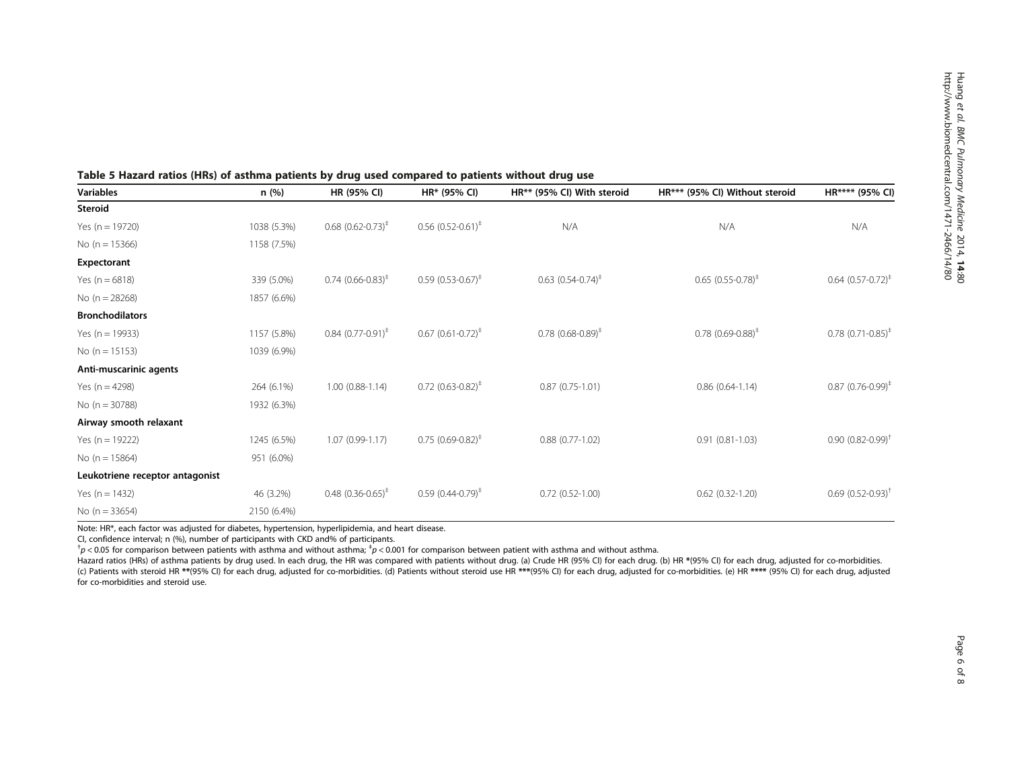| Variables                       | n(%)        | HR (95% CI)                     | HR* (95% CI)                      | HR** (95% CI) With steroid                     | HR*** (95% CI) Without steroid    | HR**** (95% CI)                  |
|---------------------------------|-------------|---------------------------------|-----------------------------------|------------------------------------------------|-----------------------------------|----------------------------------|
| Steroid                         |             |                                 |                                   |                                                |                                   |                                  |
| Yes ( $n = 19720$ )             | 1038 (5.3%) | $0.68$ $(0.62 - 0.73)^*$        | $0.56$ $(0.52 - 0.61)^*$          | N/A                                            | N/A                               | N/A                              |
| No $(n = 15366)$                | 1158 (7.5%) |                                 |                                   |                                                |                                   |                                  |
| Expectorant                     |             |                                 |                                   |                                                |                                   |                                  |
| Yes $(n = 6818)$                | 339 (5.0%)  | $0.74$ $(0.66 - 0.83)^{+}$      | $0.59$ $(0.53 - 0.67)^{\ddagger}$ | $0.63$ $(0.54 - 0.74)^{\ddagger}$              | $0.65$ $(0.55 - 0.78)^*$          | $0.64$ $(0.57 - 0.72)^*$         |
| No $(n = 28268)$                | 1857 (6.6%) |                                 |                                   |                                                |                                   |                                  |
| <b>Bronchodilators</b>          |             |                                 |                                   |                                                |                                   |                                  |
| Yes ( $n = 19933$ )             | 1157 (5.8%) | $0.84$ $(0.77-0.91)^{\ddagger}$ | $0.67$ $(0.61 - 0.72)^*$          | $0.78$ (0.68-0.89) <sup><math>\pm</math></sup> | $0.78$ $(0.69 - 0.88)^{\ddagger}$ | $0.78$ (0.71-0.85) <sup>‡</sup>  |
| No $(n = 15153)$                | 1039 (6.9%) |                                 |                                   |                                                |                                   |                                  |
| Anti-muscarinic agents          |             |                                 |                                   |                                                |                                   |                                  |
| Yes $(n = 4298)$                | 264 (6.1%)  | $1.00(0.88-1.14)$               | $0.72$ $(0.63 - 0.82)^{+}$        | $0.87(0.75-1.01)$                              | $0.86(0.64-1.14)$                 | $0.87$ (0.76-0.99) <sup>‡</sup>  |
| No $(n = 30788)$                | 1932 (6.3%) |                                 |                                   |                                                |                                   |                                  |
| Airway smooth relaxant          |             |                                 |                                   |                                                |                                   |                                  |
| Yes ( $n = 19222$ )             | 1245 (6.5%) | $1.07(0.99 - 1.17)$             | $0.75$ $(0.69 - 0.82)^{*}$        | $0.88(0.77-1.02)$                              | $0.91(0.81-1.03)$                 | $0.90(0.82 - 0.99)^+$            |
| No $(n = 15864)$                | 951 (6.0%)  |                                 |                                   |                                                |                                   |                                  |
| Leukotriene receptor antagonist |             |                                 |                                   |                                                |                                   |                                  |
| Yes $(n = 1432)$                | 46 (3.2%)   | $0.48$ $(0.36 - 0.65)^{+}$      | $0.59(0.44 - 0.79)^{*}$           | $0.72(0.52 - 1.00)$                            | $0.62(0.32-1.20)$                 | $0.69$ $(0.52 - 0.93)^{\dagger}$ |
| No $(n = 33654)$                | 2150 (6.4%) |                                 |                                   |                                                |                                   |                                  |

## <span id="page-5-0"></span>Table 5 Hazard ratios (HRs) of asthma patients by drug used compared to patients without drug use

Note: HR\*, each factor was adjusted for diabetes, hypertension, hyperlipidemia, and heart disease.

CI, confidence interval; n (%), number of participants with CKD and% of participants.

 $^{\dagger}$ p < 0.05 for comparison between patients with asthma and without asthma;  $^{\dagger}$ p < 0.001 for comparison between patient with asthma and without asthma.

Hazard ratios (HRs) of asthma patients by drug used. In each drug, the HR was compared with patients without drug. (a) Crude HR (95% CI) for each drug. (b) HR \*(95% CI) for each drug, adjusted for co-morbidities. (c) Patients with steroid HR \*\*(95% CI) for each drug, adjusted for co-morbidities. (d) Patients without steroid use HR \*\*\*(95% CI) for each drug, adjusted for co-morbidities. (e) HR \*\*\*\* (95% CI) for each drug, adjusted f for co-morbidities and steroid use.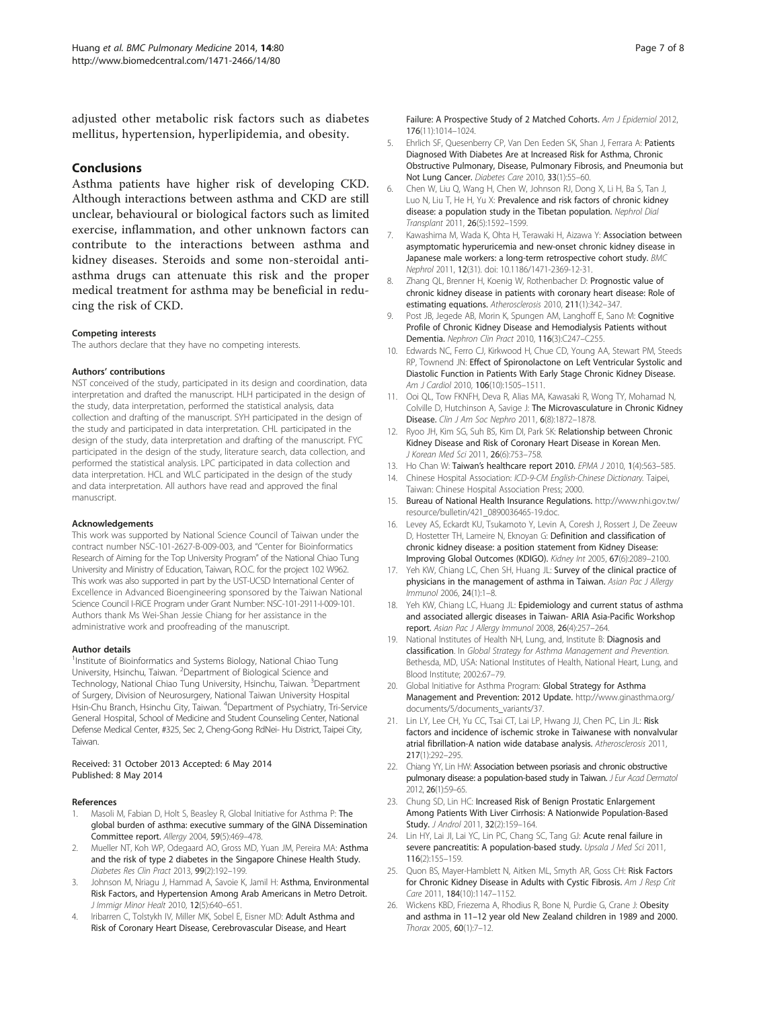<span id="page-6-0"></span>adjusted other metabolic risk factors such as diabetes mellitus, hypertension, hyperlipidemia, and obesity.

## Conclusions

Asthma patients have higher risk of developing CKD. Although interactions between asthma and CKD are still unclear, behavioural or biological factors such as limited exercise, inflammation, and other unknown factors can contribute to the interactions between asthma and kidney diseases. Steroids and some non-steroidal antiasthma drugs can attenuate this risk and the proper medical treatment for asthma may be beneficial in reducing the risk of CKD.

#### Competing interests

The authors declare that they have no competing interests.

#### Authors' contributions

NST conceived of the study, participated in its design and coordination, data interpretation and drafted the manuscript. HLH participated in the design of the study, data interpretation, performed the statistical analysis, data collection and drafting of the manuscript. SYH participated in the design of the study and participated in data interpretation. CHL participated in the design of the study, data interpretation and drafting of the manuscript. FYC participated in the design of the study, literature search, data collection, and performed the statistical analysis. LPC participated in data collection and data interpretation. HCL and WLC participated in the design of the study and data interpretation. All authors have read and approved the final manuscript.

#### Acknowledgements

This work was supported by National Science Council of Taiwan under the contract number NSC-101-2627-B-009-003, and "Center for Bioinformatics Research of Aiming for the Top University Program" of the National Chiao Tung University and Ministry of Education, Taiwan, R.O.C. for the project 102 W962. This work was also supported in part by the UST-UCSD International Center of Excellence in Advanced Bioengineering sponsored by the Taiwan National Science Council I-RiCE Program under Grant Number: NSC-101-2911-I-009-101. Authors thank Ms Wei-Shan Jessie Chiang for her assistance in the administrative work and proofreading of the manuscript.

#### Author details

<sup>1</sup>Institute of Bioinformatics and Systems Biology, National Chiao Tung University, Hsinchu, Taiwan. <sup>2</sup>Department of Biological Science and Technology, National Chiao Tung University, Hsinchu, Taiwan. <sup>3</sup>Department of Surgery, Division of Neurosurgery, National Taiwan University Hospital Hsin-Chu Branch, Hsinchu City, Taiwan. <sup>4</sup>Department of Psychiatry, Tri-Service General Hospital, School of Medicine and Student Counseling Center, National Defense Medical Center, #325, Sec 2, Cheng-Gong RdNei- Hu District, Taipei City, Taiwan.

#### Received: 31 October 2013 Accepted: 6 May 2014 Published: 8 May 2014

#### References

- 1. Masoli M, Fabian D, Holt S, Beasley R, Global Initiative for Asthma P: The global burden of asthma: executive summary of the GINA Dissemination Committee report. Allergy 2004, 59(5):469–478.
- 2. Mueller NT, Koh WP, Odegaard AO, Gross MD, Yuan JM, Pereira MA: Asthma and the risk of type 2 diabetes in the Singapore Chinese Health Study. Diabetes Res Clin Pract 2013, 99(2):192–199.
- Johnson M, Nriagu J, Hammad A, Savoie K, Jamil H: Asthma, Environmental Risk Factors, and Hypertension Among Arab Americans in Metro Detroit. J Immigr Minor Healt 2010, 12(5):640–651.
- 4. Iribarren C, Tolstykh IV, Miller MK, Sobel E, Eisner MD: Adult Asthma and Risk of Coronary Heart Disease, Cerebrovascular Disease, and Heart

Failure: A Prospective Study of 2 Matched Cohorts. Am J Epidemiol 2012, 176(11):1014–1024.

- 5. Ehrlich SF, Quesenberry CP, Van Den Eeden SK, Shan J, Ferrara A: Patients Diagnosed With Diabetes Are at Increased Risk for Asthma, Chronic Obstructive Pulmonary, Disease, Pulmonary Fibrosis, and Pneumonia but Not Lung Cancer. Diabetes Care 2010, 33(1):55–60.
- 6. Chen W, Liu Q, Wang H, Chen W, Johnson RJ, Dong X, Li H, Ba S, Tan J, Luo N, Liu T, He H, Yu X: Prevalence and risk factors of chronic kidney disease: a population study in the Tibetan population. Nephrol Dial Transplant 2011, 26(5):1592–1599.
- Kawashima M, Wada K, Ohta H, Terawaki H, Aizawa Y: Association between asymptomatic hyperuricemia and new-onset chronic kidney disease in Japanese male workers: a long-term retrospective cohort study. BMC Nephrol 2011, 12(31). doi: 10.1186/1471-2369-12-31.
- 8. Zhang QL, Brenner H, Koenig W, Rothenbacher D: Prognostic value of chronic kidney disease in patients with coronary heart disease: Role of estimating equations. Atherosclerosis 2010, 211(1):342–347.
- Post JB, Jegede AB, Morin K, Spungen AM, Langhoff E, Sano M: Cognitive Profile of Chronic Kidney Disease and Hemodialysis Patients without Dementia. Nephron Clin Pract 2010, 116(3):C247–C255.
- 10. Edwards NC, Ferro CJ, Kirkwood H, Chue CD, Young AA, Stewart PM, Steeds RP, Townend JN: Effect of Spironolactone on Left Ventricular Systolic and Diastolic Function in Patients With Early Stage Chronic Kidney Disease. Am J Cardiol 2010, 106(10):1505–1511.
- 11. Ooi QL, Tow FKNFH, Deva R, Alias MA, Kawasaki R, Wong TY, Mohamad N, Colville D, Hutchinson A, Savige J: The Microvasculature in Chronic Kidney Disease. Clin J Am Soc Nephro 2011, 6(8):1872–1878.
- 12. Ryoo JH, Kim SG, Suh BS, Kim DI, Park SK: Relationship between Chronic Kidney Disease and Risk of Coronary Heart Disease in Korean Men. J Korean Med Sci 2011, 26(6):753–758.
- 13. Ho Chan W: Taiwan's healthcare report 2010. EPMA J 2010, 1(4):563-585.
- 14. Chinese Hospital Association: ICD-9-CM English-Chinese Dictionary. Taipei, Taiwan: Chinese Hospital Association Press; 2000.
- 15. Bureau of National Health Insurance Regulations. [http://www.nhi.gov.tw/](http://www.nhi.gov.tw/resource/bulletin/421_0890036465-19.doc) [resource/bulletin/421\\_0890036465-19.doc.](http://www.nhi.gov.tw/resource/bulletin/421_0890036465-19.doc)
- 16. Levey AS, Eckardt KU, Tsukamoto Y, Levin A, Coresh J, Rossert J, De Zeeuw D, Hostetter TH, Lameire N, Eknoyan G: Definition and classification of chronic kidney disease: a position statement from Kidney Disease: Improving Global Outcomes (KDIGO). Kidney Int 2005, 67(6):2089–2100.
- 17. Yeh KW, Chiang LC, Chen SH, Huang JL: Survey of the clinical practice of physicians in the management of asthma in Taiwan. Asian Pac J Allergy Immunol 2006, 24(1):1–8.
- 18. Yeh KW, Chiang LC, Huang JL: Epidemiology and current status of asthma and associated allergic diseases in Taiwan- ARIA Asia-Pacific Workshop report. Asian Pac J Allergy Immunol 2008, 26(4):257–264.
- 19. National Institutes of Health NH, Lung, and, Institute B: Diagnosis and classification. In Global Strategy for Asthma Management and Prevention. Bethesda, MD, USA: National Institutes of Health, National Heart, Lung, and Blood Institute; 2002:67–79.
- 20. Global Initiative for Asthma Program: Global Strategy for Asthma Management and Prevention: 2012 Update. [http://www.ginasthma.org/](http://www.ginasthma.org/documents/5/documents_variants/37) [documents/5/documents\\_variants/37.](http://www.ginasthma.org/documents/5/documents_variants/37)
- 21. Lin LY, Lee CH, Yu CC, Tsai CT, Lai LP, Hwang JJ, Chen PC, Lin JL: Risk factors and incidence of ischemic stroke in Taiwanese with nonvalvular atrial fibrillation-A nation wide database analysis. Atherosclerosis 2011, 217(1):292–295.
- 22. Chiang YY, Lin HW: Association between psoriasis and chronic obstructive pulmonary disease: a population-based study in Taiwan. J Eur Acad Dermatol 2012, 26(1):59–65.
- 23. Chung SD, Lin HC: Increased Risk of Benign Prostatic Enlargement Among Patients With Liver Cirrhosis: A Nationwide Population-Based Study. J Androl 2011, 32(2):159-164.
- 24. Lin HY, Lai JI, Lai YC, Lin PC, Chang SC, Tang GJ: Acute renal failure in severe pancreatitis: A population-based study. Upsala J Med Sci 2011, 116(2):155–159.
- 25. Quon BS, Mayer-Hamblett N, Aitken ML, Smyth AR, Goss CH: Risk Factors for Chronic Kidney Disease in Adults with Cystic Fibrosis. Am J Resp Crit Care 2011, 184(10):1147–1152.
- 26. Wickens KBD, Friezema A, Rhodius R, Bone N, Purdie G, Crane J: Obesity and asthma in 11–12 year old New Zealand children in 1989 and 2000. Thorax 2005, 60(1):7–12.